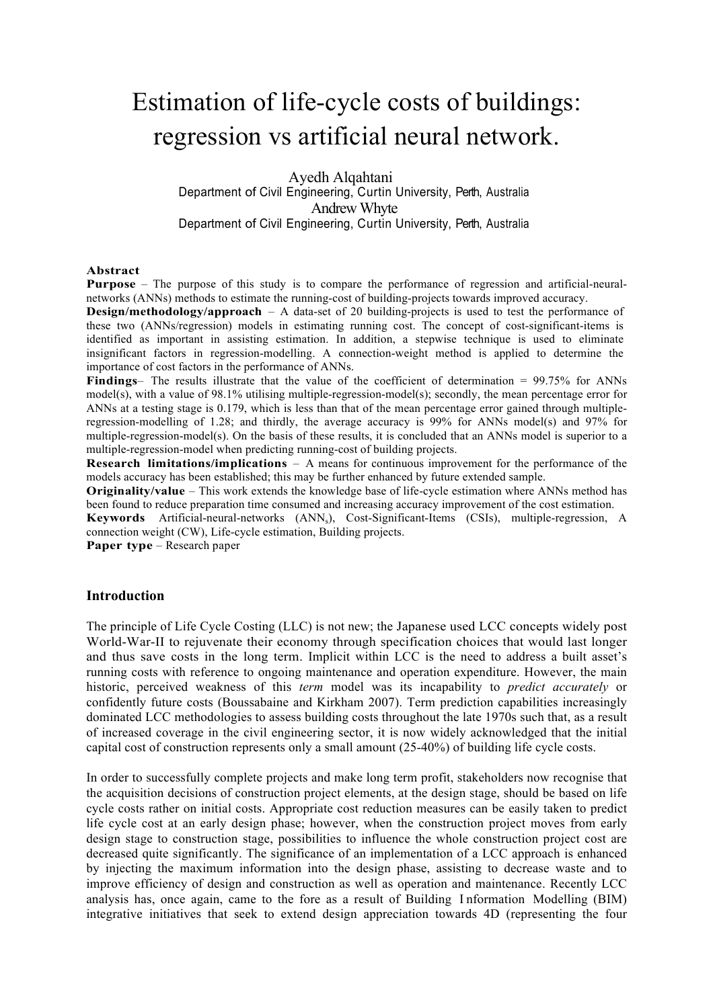# Estimation of life-cycle costs of buildings: regression vs artificial neural network.

 Ayedh Alqahtani Department of Civil Engineering, Curtin University, Perth, Australia Andrew Whyte Department of Civil Engineering, Curtin University, Perth, Australia

#### **Abstract**

**Purpose** – The purpose of this study is to compare the performance of regression and artificial-neuralnetworks (ANNs) methods to estimate the running-cost of building-projects towards improved accuracy.

**Design/methodology/approach** – A data-set of 20 building-projects is used to test the performance of these two (ANNs/regression) models in estimating running cost. The concept of cost-significant-items is identified as important in assisting estimation. In addition, a stepwise technique is used to eliminate insignificant factors in regression-modelling. A connection-weight method is applied to determine the importance of cost factors in the performance of ANNs.

**Findings**– The results illustrate that the value of the coefficient of determination = 99.75% for ANNs model(s), with a value of 98.1% utilising multiple-regression-model(s); secondly, the mean percentage error for ANNs at a testing stage is 0.179, which is less than that of the mean percentage error gained through multipleregression-modelling of 1.28; and thirdly, the average accuracy is 99% for ANNs model(s) and 97% for multiple-regression-model(s). On the basis of these results, it is concluded that an ANNs model is superior to a multiple-regression-model when predicting running-cost of building projects.

**Research limitations/implications** – A means for continuous improvement for the performance of the models accuracy has been established; this may be further enhanced by future extended sample.

**Originality/value** – This work extends the knowledge base of life-cycle estimation where ANNs method has been found to reduce preparation time consumed and increasing accuracy improvement of the cost estimation.

**Keywords** Artificial-neural-networks (ANN<sub>s</sub>), Cost-Significant-Items (CSIs), multiple-regression, A connection weight (CW), Life-cycle estimation, Building projects.

**Paper type** – Research paper

# **Introduction**

The principle of Life Cycle Costing (LLC) is not new; the Japanese used LCC concepts widely post World-War-II to rejuvenate their economy through specification choices that would last longer and thus save costs in the long term. Implicit within LCC is the need to address a built asset's running costs with reference to ongoing maintenance and operation expenditure. However, the main historic, perceived weakness of this *term* model was its incapability to *predict accurately* or confidently future costs (Boussabaine and Kirkham 2007). Term prediction capabilities increasingly dominated LCC methodologies to assess building costs throughout the late 1970s such that, as a result of increased coverage in the civil engineering sector, it is now widely acknowledged that the initial capital cost of construction represents only a small amount (25-40%) of building life cycle costs.

In order to successfully complete projects and make long term profit, stakeholders now recognise that the acquisition decisions of construction project elements, at the design stage, should be based on life cycle costs rather on initial costs. Appropriate cost reduction measures can be easily taken to predict life cycle cost at an early design phase; however, when the construction project moves from early design stage to construction stage, possibilities to influence the whole construction project cost are decreased quite significantly. The significance of an implementation of a LCC approach is enhanced by injecting the maximum information into the design phase, assisting to decrease waste and to improve efficiency of design and construction as well as operation and maintenance. Recently LCC analysis has, once again, came to the fore as a result of Building I nformation Modelling (BIM) integrative initiatives that seek to extend design appreciation towards 4D (representing the four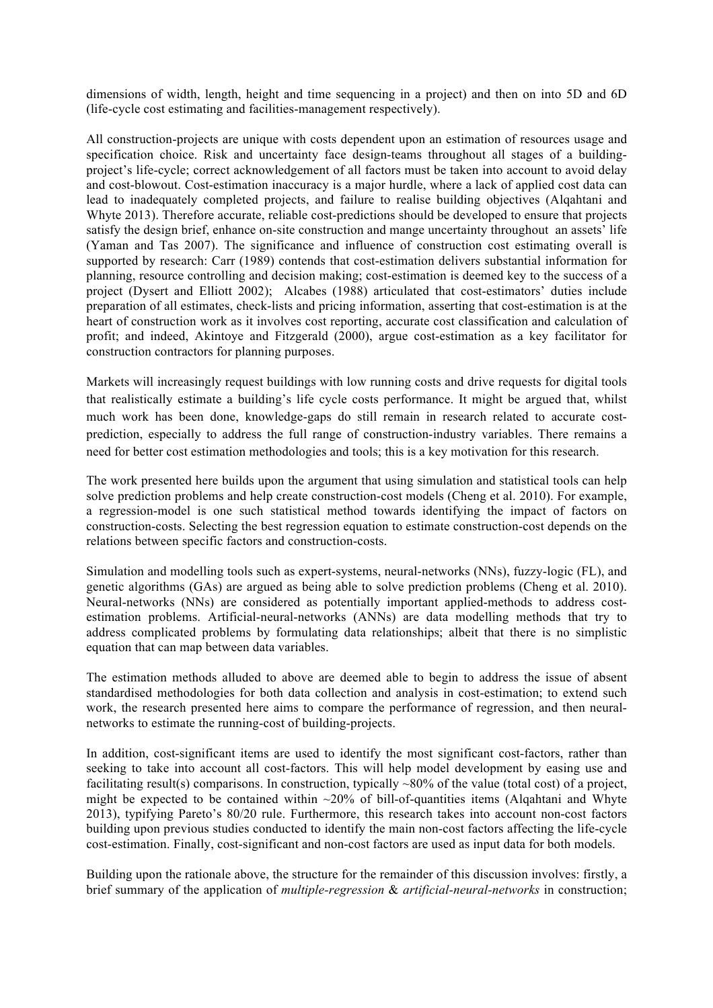dimensions of width, length, height and time sequencing in a project) and then on into 5D and 6D (life-cycle cost estimating and facilities-management respectively).

All construction-projects are unique with costs dependent upon an estimation of resources usage and specification choice. Risk and uncertainty face design-teams throughout all stages of a buildingproject's life-cycle; correct acknowledgement of all factors must be taken into account to avoid delay and cost-blowout. Cost-estimation inaccuracy is a major hurdle, where a lack of applied cost data can lead to inadequately completed projects, and failure to realise building objectives (Alqahtani and Whyte 2013). Therefore accurate, reliable cost-predictions should be developed to ensure that projects satisfy the design brief, enhance on-site construction and mange uncertainty throughout an assets' life (Yaman and Tas 2007). The significance and influence of construction cost estimating overall is supported by research: Carr (1989) contends that cost-estimation delivers substantial information for planning, resource controlling and decision making; cost-estimation is deemed key to the success of a project (Dysert and Elliott 2002); Alcabes (1988) articulated that cost-estimators' duties include preparation of all estimates, check-lists and pricing information, asserting that cost-estimation is at the heart of construction work as it involves cost reporting, accurate cost classification and calculation of profit; and indeed, Akintoye and Fitzgerald (2000), argue cost-estimation as a key facilitator for construction contractors for planning purposes.

Markets will increasingly request buildings with low running costs and drive requests for digital tools that realistically estimate a building's life cycle costs performance. It might be argued that, whilst much work has been done, knowledge-gaps do still remain in research related to accurate costprediction, especially to address the full range of construction-industry variables. There remains a need for better cost estimation methodologies and tools; this is a key motivation for this research.

The work presented here builds upon the argument that using simulation and statistical tools can help solve prediction problems and help create construction-cost models (Cheng et al. 2010). For example, a regression-model is one such statistical method towards identifying the impact of factors on construction-costs. Selecting the best regression equation to estimate construction-cost depends on the relations between specific factors and construction-costs.

Simulation and modelling tools such as expert-systems, neural-networks (NNs), fuzzy-logic (FL), and genetic algorithms (GAs) are argued as being able to solve prediction problems (Cheng et al. 2010). Neural-networks (NNs) are considered as potentially important applied-methods to address costestimation problems. Artificial-neural-networks (ANNs) are data modelling methods that try to address complicated problems by formulating data relationships; albeit that there is no simplistic equation that can map between data variables.

The estimation methods alluded to above are deemed able to begin to address the issue of absent standardised methodologies for both data collection and analysis in cost-estimation; to extend such work, the research presented here aims to compare the performance of regression, and then neuralnetworks to estimate the running-cost of building-projects.

In addition, cost-significant items are used to identify the most significant cost-factors, rather than seeking to take into account all cost-factors. This will help model development by easing use and facilitating result(s) comparisons. In construction, typically ~80% of the value (total cost) of a project, might be expected to be contained within  $\sim$ 20% of bill-of-quantities items (Algahtani and Whyte 2013), typifying Pareto's 80/20 rule. Furthermore, this research takes into account non-cost factors building upon previous studies conducted to identify the main non-cost factors affecting the life-cycle cost-estimation. Finally, cost-significant and non-cost factors are used as input data for both models.

Building upon the rationale above, the structure for the remainder of this discussion involves: firstly, a brief summary of the application of *multiple-regression* & *artificial-neural-networks* in construction;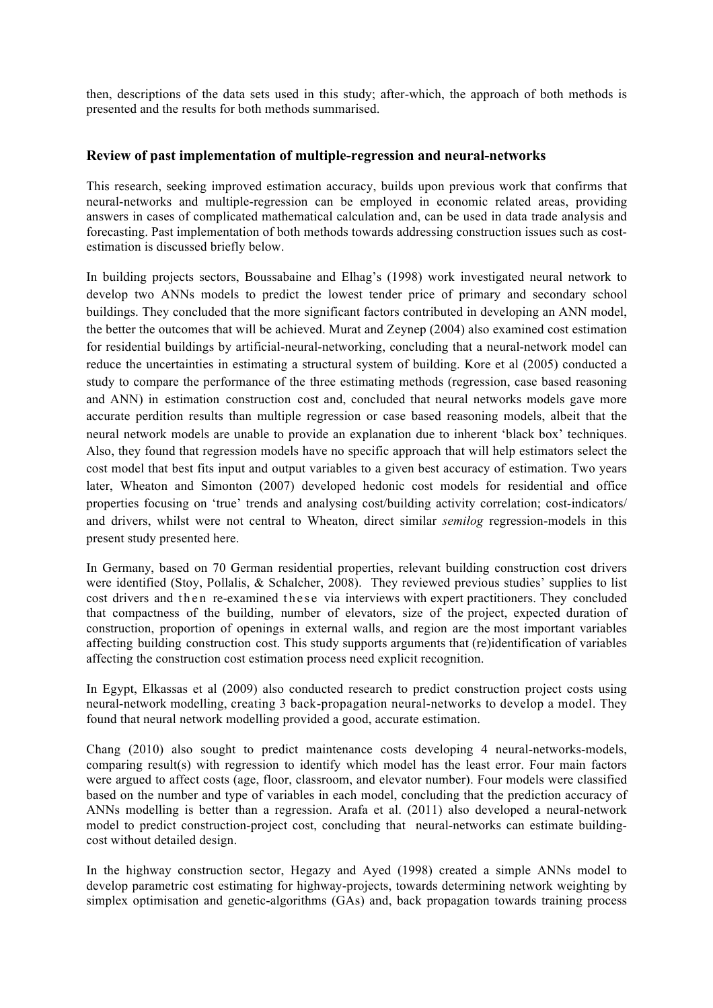then, descriptions of the data sets used in this study; after-which, the approach of both methods is presented and the results for both methods summarised.

# **Review of past implementation of multiple-regression and neural-networks**

This research, seeking improved estimation accuracy, builds upon previous work that confirms that neural-networks and multiple-regression can be employed in economic related areas, providing answers in cases of complicated mathematical calculation and, can be used in data trade analysis and forecasting. Past implementation of both methods towards addressing construction issues such as costestimation is discussed briefly below.

In building projects sectors, Boussabaine and Elhag's (1998) work investigated neural network to develop two ANNs models to predict the lowest tender price of primary and secondary school buildings. They concluded that the more significant factors contributed in developing an ANN model, the better the outcomes that will be achieved. Murat and Zeynep (2004) also examined cost estimation for residential buildings by artificial-neural-networking, concluding that a neural-network model can reduce the uncertainties in estimating a structural system of building. Kore et al (2005) conducted a study to compare the performance of the three estimating methods (regression, case based reasoning and ANN) in estimation construction cost and, concluded that neural networks models gave more accurate perdition results than multiple regression or case based reasoning models, albeit that the neural network models are unable to provide an explanation due to inherent 'black box' techniques. Also, they found that regression models have no specific approach that will help estimators select the cost model that best fits input and output variables to a given best accuracy of estimation. Two years later, Wheaton and Simonton (2007) developed hedonic cost models for residential and office properties focusing on 'true' trends and analysing cost/building activity correlation; cost-indicators/ and drivers, whilst were not central to Wheaton, direct similar *semilog* regression-models in this present study presented here.

In Germany, based on 70 German residential properties, relevant building construction cost drivers were identified (Stoy, Pollalis, & Schalcher, 2008). They reviewed previous studies' supplies to list cost drivers and then re-examined these via interviews with expert practitioners. They concluded that compactness of the building, number of elevators, size of the project, expected duration of construction, proportion of openings in external walls, and region are the most important variables affecting building construction cost. This study supports arguments that (re)identification of variables affecting the construction cost estimation process need explicit recognition.

In Egypt, Elkassas et al (2009) also conducted research to predict construction project costs using neural-network modelling, creating 3 back-propagation neural-networks to develop a model. They found that neural network modelling provided a good, accurate estimation.

Chang (2010) also sought to predict maintenance costs developing 4 neural-networks-models, comparing result(s) with regression to identify which model has the least error. Four main factors were argued to affect costs (age, floor, classroom, and elevator number). Four models were classified based on the number and type of variables in each model, concluding that the prediction accuracy of ANNs modelling is better than a regression. Arafa et al. (2011) also developed a neural-network model to predict construction-project cost, concluding that neural-networks can estimate buildingcost without detailed design.

In the highway construction sector, Hegazy and Ayed (1998) created a simple ANNs model to develop parametric cost estimating for highway-projects, towards determining network weighting by simplex optimisation and genetic-algorithms (GAs) and, back propagation towards training process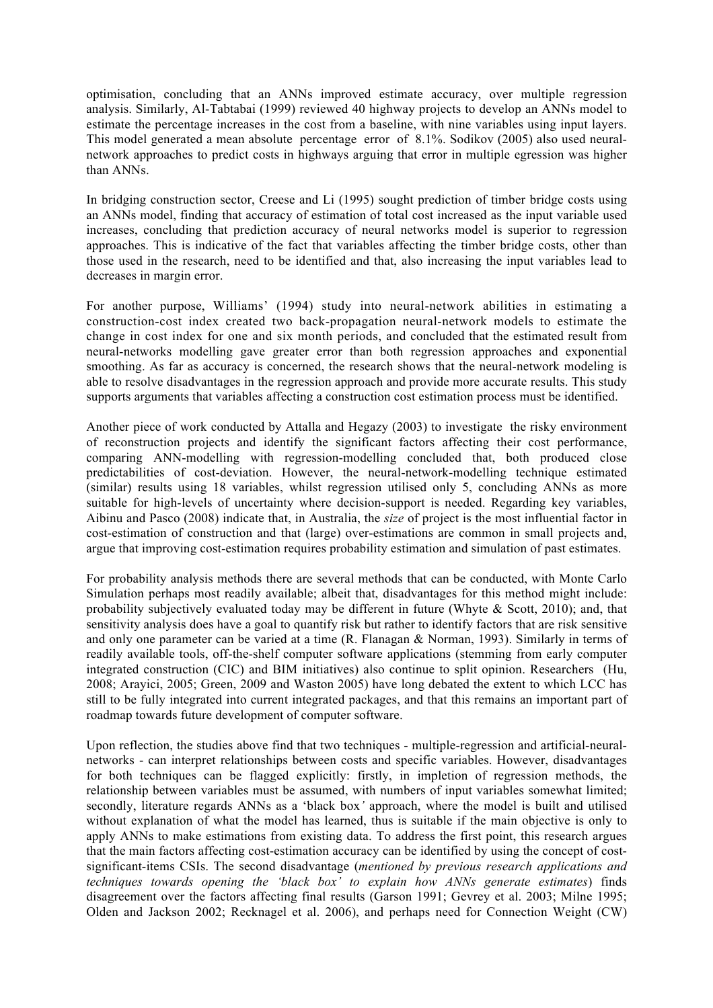optimisation, concluding that an ANNs improved estimate accuracy, over multiple regression analysis. Similarly, Al-Tabtabai (1999) reviewed 40 highway projects to develop an ANNs model to estimate the percentage increases in the cost from a baseline, with nine variables using input layers. This model generated a mean absolute percentage error of 8.1%. Sodikov (2005) also used neuralnetwork approaches to predict costs in highways arguing that error in multiple egression was higher than ANNs.

In bridging construction sector, Creese and Li (1995) sought prediction of timber bridge costs using an ANNs model, finding that accuracy of estimation of total cost increased as the input variable used increases, concluding that prediction accuracy of neural networks model is superior to regression approaches. This is indicative of the fact that variables affecting the timber bridge costs, other than those used in the research, need to be identified and that, also increasing the input variables lead to decreases in margin error.

For another purpose, Williams' (1994) study into neural-network abilities in estimating a construction-cost index created two back-propagation neural-network models to estimate the change in cost index for one and six month periods, and concluded that the estimated result from neural-networks modelling gave greater error than both regression approaches and exponential smoothing. As far as accuracy is concerned, the research shows that the neural-network modeling is able to resolve disadvantages in the regression approach and provide more accurate results. This study supports arguments that variables affecting a construction cost estimation process must be identified.

Another piece of work conducted by Attalla and Hegazy (2003) to investigate the risky environment of reconstruction projects and identify the significant factors affecting their cost performance, comparing ANN-modelling with regression-modelling concluded that, both produced close predictabilities of cost-deviation. However, the neural-network-modelling technique estimated (similar) results using 18 variables, whilst regression utilised only 5, concluding ANNs as more suitable for high-levels of uncertainty where decision-support is needed. Regarding key variables, Aibinu and Pasco (2008) indicate that, in Australia, the *size* of project is the most influential factor in cost-estimation of construction and that (large) over-estimations are common in small projects and, argue that improving cost-estimation requires probability estimation and simulation of past estimates.

For probability analysis methods there are several methods that can be conducted, with Monte Carlo Simulation perhaps most readily available; albeit that, disadvantages for this method might include: probability subjectively evaluated today may be different in future (Whyte & Scott, 2010); and, that sensitivity analysis does have a goal to quantify risk but rather to identify factors that are risk sensitive and only one parameter can be varied at a time (R. Flanagan & Norman, 1993). Similarly in terms of readily available tools, off-the-shelf computer software applications (stemming from early computer integrated construction (CIC) and BIM initiatives) also continue to split opinion. Researchers (Hu, 2008; Arayici, 2005; Green, 2009 and Waston 2005) have long debated the extent to which LCC has still to be fully integrated into current integrated packages, and that this remains an important part of roadmap towards future development of computer software.

Upon reflection, the studies above find that two techniques - multiple-regression and artificial-neuralnetworks - can interpret relationships between costs and specific variables. However, disadvantages for both techniques can be flagged explicitly: firstly, in impletion of regression methods, the relationship between variables must be assumed, with numbers of input variables somewhat limited; secondly, literature regards ANNs as a 'black box*'* approach, where the model is built and utilised without explanation of what the model has learned, thus is suitable if the main objective is only to apply ANNs to make estimations from existing data. To address the first point, this research argues that the main factors affecting cost-estimation accuracy can be identified by using the concept of costsignificant-items CSIs. The second disadvantage (*mentioned by previous research applications and techniques towards opening the 'black box' to explain how ANNs generate estimates*) finds disagreement over the factors affecting final results (Garson 1991; Gevrey et al. 2003; Milne 1995; Olden and Jackson 2002; Recknagel et al. 2006), and perhaps need for Connection Weight (CW)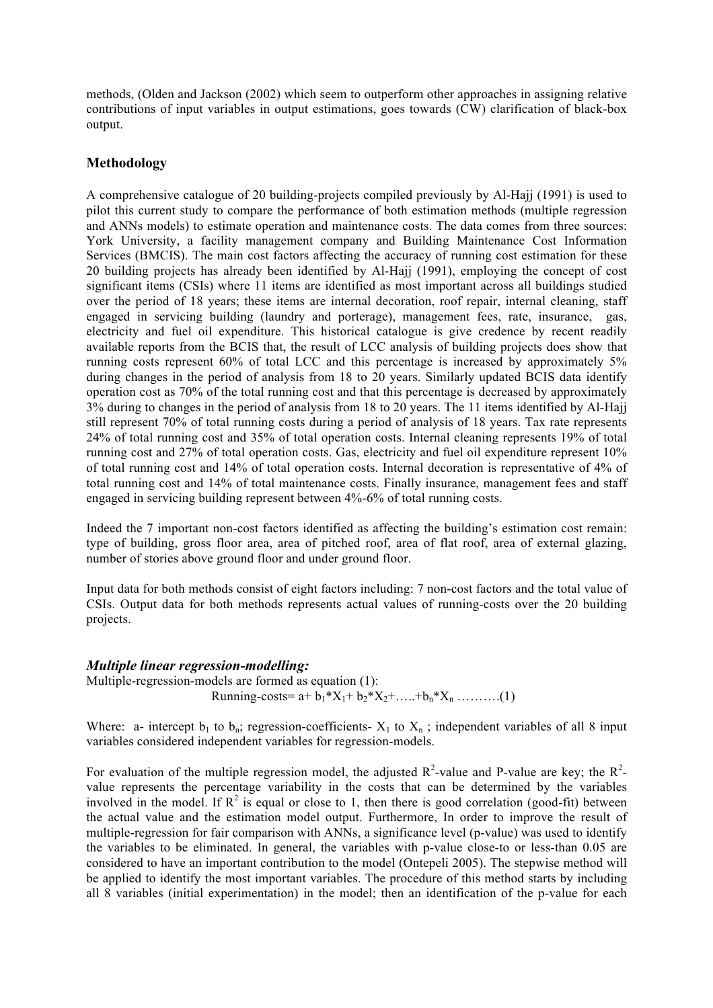methods, (Olden and Jackson (2002) which seem to outperform other approaches in assigning relative contributions of input variables in output estimations, goes towards (CW) clarification of black-box output.

# **Methodology**

A comprehensive catalogue of 20 building-projects compiled previously by Al-Hajj (1991) is used to pilot this current study to compare the performance of both estimation methods (multiple regression and ANNs models) to estimate operation and maintenance costs. The data comes from three sources: York University, a facility management company and Building Maintenance Cost Information Services (BMCIS). The main cost factors affecting the accuracy of running cost estimation for these 20 building projects has already been identified by Al-Hajj (1991), employing the concept of cost significant items (CSIs) where 11 items are identified as most important across all buildings studied over the period of 18 years; these items are internal decoration, roof repair, internal cleaning, staff engaged in servicing building (laundry and porterage), management fees, rate, insurance, gas, electricity and fuel oil expenditure. This historical catalogue is give credence by recent readily available reports from the BCIS that, the result of LCC analysis of building projects does show that running costs represent 60% of total LCC and this percentage is increased by approximately 5% during changes in the period of analysis from 18 to 20 years. Similarly updated BCIS data identify operation cost as 70% of the total running cost and that this percentage is decreased by approximately 3% during to changes in the period of analysis from 18 to 20 years. The 11 items identified by Al-Hajj still represent 70% of total running costs during a period of analysis of 18 years. Tax rate represents 24% of total running cost and 35% of total operation costs. Internal cleaning represents 19% of total running cost and 27% of total operation costs. Gas, electricity and fuel oil expenditure represent 10% of total running cost and 14% of total operation costs. Internal decoration is representative of 4% of total running cost and 14% of total maintenance costs. Finally insurance, management fees and staff engaged in servicing building represent between 4%-6% of total running costs.

Indeed the 7 important non-cost factors identified as affecting the building's estimation cost remain: type of building, gross floor area, area of pitched roof, area of flat roof, area of external glazing, number of stories above ground floor and under ground floor.

Input data for both methods consist of eight factors including: 7 non-cost factors and the total value of CSIs. Output data for both methods represents actual values of running-costs over the 20 building projects.

#### *Multiple linear regression-modelling:*

Multiple-regression-models are formed as equation (1): Running-costs=  $a+b_1*X_1+b_2*X_2+.....+b_n*X_n$  ………..(1)

Where: a- intercept  $b_1$  to  $b_n$ ; regression-coefficients-  $X_1$  to  $X_n$ ; independent variables of all 8 input variables considered independent variables for regression-models.

For evaluation of the multiple regression model, the adjusted  $R^2$ -value and P-value are key; the  $R^2$ value represents the percentage variability in the costs that can be determined by the variables involved in the model. If  $\mathbb{R}^2$  is equal or close to 1, then there is good correlation (good-fit) between the actual value and the estimation model output. Furthermore, In order to improve the result of multiple-regression for fair comparison with ANNs, a significance level (p-value) was used to identify the variables to be eliminated. In general, the variables with p-value close-to or less-than 0.05 are considered to have an important contribution to the model (Ontepeli 2005). The stepwise method will be applied to identify the most important variables. The procedure of this method starts by including all 8 variables (initial experimentation) in the model; then an identification of the p-value for each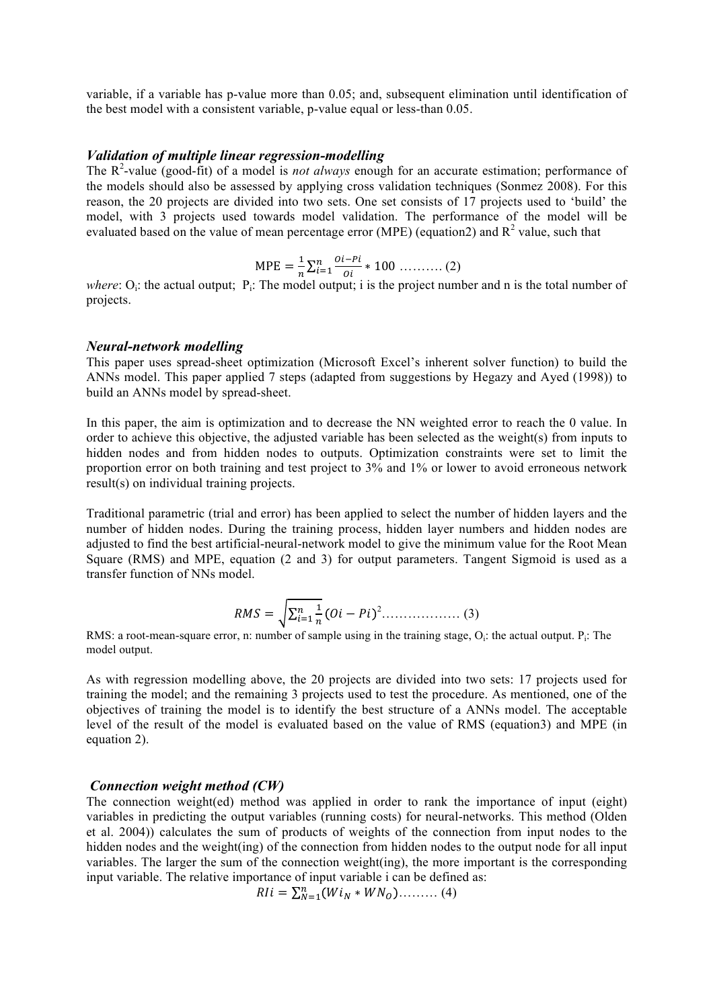variable, if a variable has p-value more than 0.05; and, subsequent elimination until identification of the best model with a consistent variable, p-value equal or less-than 0.05.

#### *Validation of multiple linear regression-modelling*

The R<sup>2</sup>-value (good-fit) of a model is *not always* enough for an accurate estimation; performance of the models should also be assessed by applying cross validation techniques (Sonmez 2008). For this reason, the 20 projects are divided into two sets. One set consists of 17 projects used to 'build' the model, with 3 projects used towards model validation. The performance of the model will be evaluated based on the value of mean percentage error (MPE) (equation2) and  $R^2$  value, such that

$$
MPE = \frac{1}{n} \sum_{i=1}^{n} \frac{0i - Pi}{0i} * 100 \dots \dots \dots \dots (2)
$$

*where*: O<sub>i</sub>: the actual output; P<sub>i</sub>: The model output; i is the project number and n is the total number of projects.

#### *Neural-network modelling*

This paper uses spread-sheet optimization (Microsoft Excel's inherent solver function) to build the ANNs model. This paper applied 7 steps (adapted from suggestions by Hegazy and Ayed (1998)) to build an ANNs model by spread-sheet.

In this paper, the aim is optimization and to decrease the NN weighted error to reach the 0 value. In order to achieve this objective, the adjusted variable has been selected as the weight(s) from inputs to hidden nodes and from hidden nodes to outputs. Optimization constraints were set to limit the proportion error on both training and test project to 3% and 1% or lower to avoid erroneous network result(s) on individual training projects.

Traditional parametric (trial and error) has been applied to select the number of hidden layers and the number of hidden nodes. During the training process, hidden layer numbers and hidden nodes are adjusted to find the best artificial-neural-network model to give the minimum value for the Root Mean Square (RMS) and MPE, equation (2 and 3) for output parameters. Tangent Sigmoid is used as a transfer function of NNs model.

 = & ' ' ),& − <sup>2</sup> ……………… (3)

RMS: a root-mean-square error, n: number of sample using in the training stage,  $O_i$ : the actual output.  $P_i$ : The model output.

As with regression modelling above, the 20 projects are divided into two sets: 17 projects used for training the model; and the remaining 3 projects used to test the procedure. As mentioned, one of the objectives of training the model is to identify the best structure of a ANNs model. The acceptable level of the result of the model is evaluated based on the value of RMS (equation3) and MPE (in equation 2).

#### *Connection weight method (CW)*

The connection weight(ed) method was applied in order to rank the importance of input (eight) variables in predicting the output variables (running costs) for neural-networks. This method (Olden et al. 2004)) calculates the sum of products of weights of the connection from input nodes to the hidden nodes and the weight(ing) of the connection from hidden nodes to the output node for all input variables. The larger the sum of the connection weight(ing), the more important is the corresponding input variable. The relative importance of input variable i can be defined as:

$$
R1i = \sum_{N=1}^{n} (Wi_N * WN_O) \dots \dots \dots (4)
$$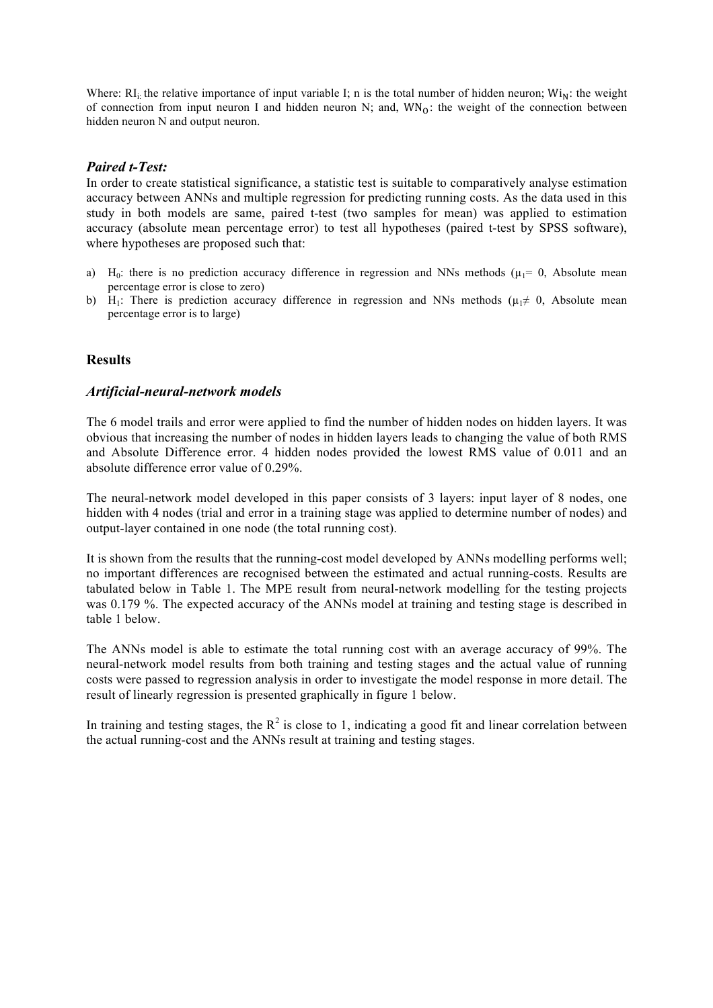Where:  $RI_i$ : the relative importance of input variable I; n is the total number of hidden neuron;  $Wi_N$ : the weight of connection from input neuron I and hidden neuron N; and,  $WN<sub>0</sub>$ : the weight of the connection between hidden neuron N and output neuron.

# *Paired t-Test:*

In order to create statistical significance, a statistic test is suitable to comparatively analyse estimation accuracy between ANNs and multiple regression for predicting running costs. As the data used in this study in both models are same, paired t-test (two samples for mean) was applied to estimation accuracy (absolute mean percentage error) to test all hypotheses (paired t-test by SPSS software), where hypotheses are proposed such that:

- a) H<sub>0</sub>: there is no prediction accuracy difference in regression and NNs methods ( $\mu_1$ = 0, Absolute mean percentage error is close to zero)
- b) H<sub>1</sub>: There is prediction accuracy difference in regression and NNs methods ( $\mu_1 \neq 0$ , Absolute mean percentage error is to large)

#### **Results**

#### *Artificial-neural-network models*

The 6 model trails and error were applied to find the number of hidden nodes on hidden layers. It was obvious that increasing the number of nodes in hidden layers leads to changing the value of both RMS and Absolute Difference error. 4 hidden nodes provided the lowest RMS value of 0.011 and an absolute difference error value of 0.29%.

The neural-network model developed in this paper consists of 3 layers: input layer of 8 nodes, one hidden with 4 nodes (trial and error in a training stage was applied to determine number of nodes) and output-layer contained in one node (the total running cost).

It is shown from the results that the running-cost model developed by ANNs modelling performs well; no important differences are recognised between the estimated and actual running-costs. Results are tabulated below in Table 1. The MPE result from neural-network modelling for the testing projects was 0.179 %. The expected accuracy of the ANNs model at training and testing stage is described in table 1 below.

The ANNs model is able to estimate the total running cost with an average accuracy of 99%. The neural-network model results from both training and testing stages and the actual value of running costs were passed to regression analysis in order to investigate the model response in more detail. The result of linearly regression is presented graphically in figure 1 below.

In training and testing stages, the  $R^2$  is close to 1, indicating a good fit and linear correlation between the actual running-cost and the ANNs result at training and testing stages.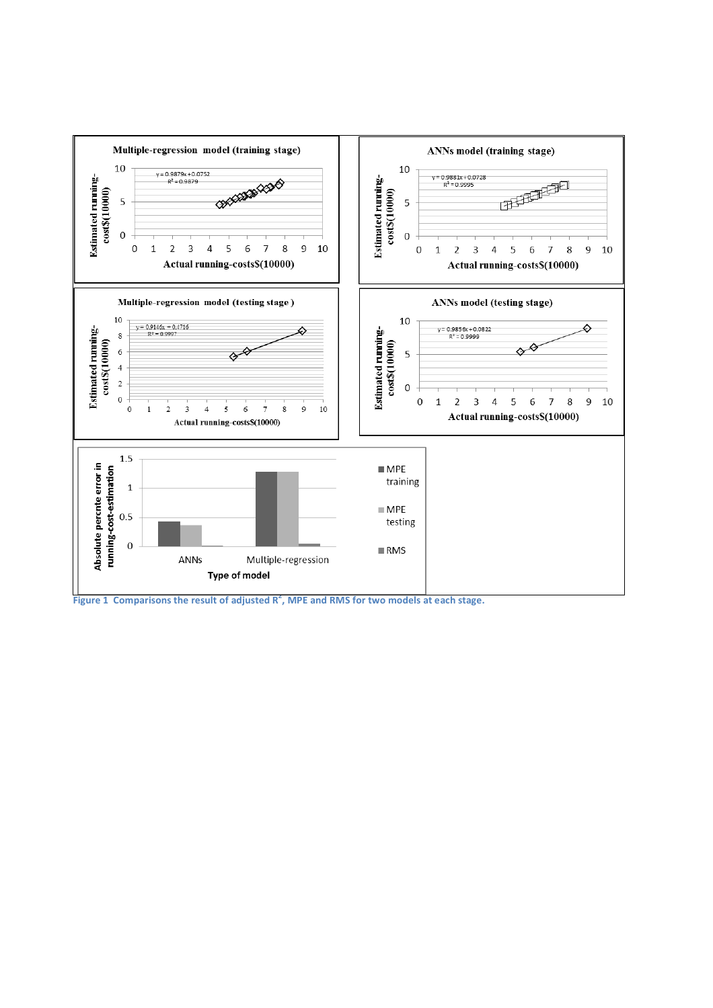

**Figure 1 Comparisons the result of adjusted R<sup>2</sup>, MPE and RMS for two models at each stage.**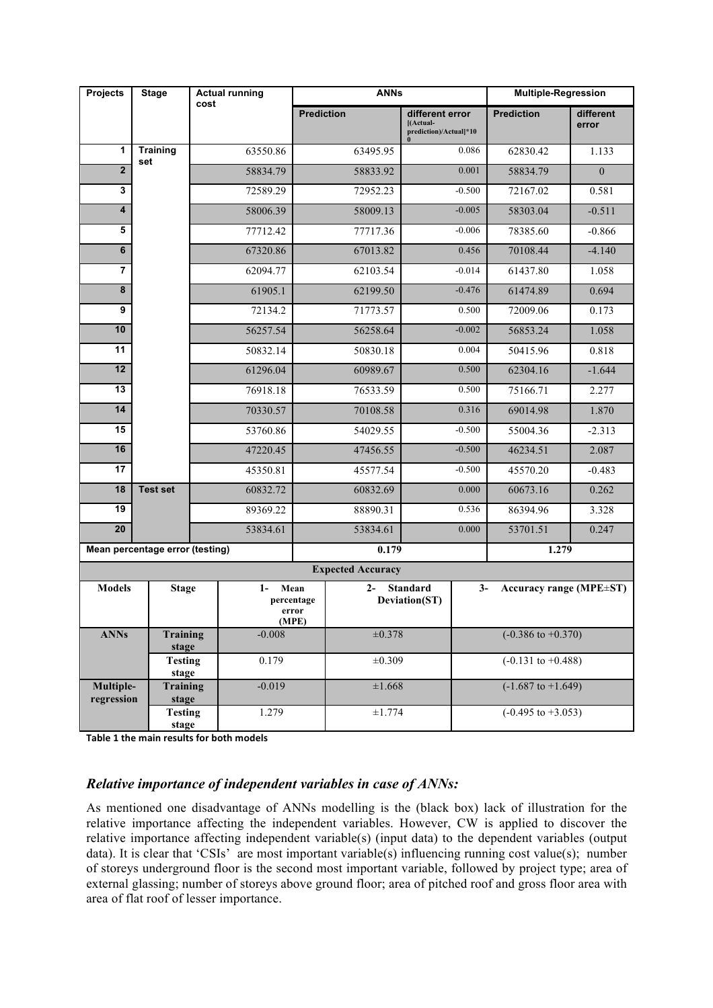| <b>Projects</b>                 | <b>Stage</b>             | <b>Actual running</b><br>cost    |                                     | <b>ANNs</b>       |          |                                                        |                               | <b>Multiple-Regression</b>              |                    |
|---------------------------------|--------------------------|----------------------------------|-------------------------------------|-------------------|----------|--------------------------------------------------------|-------------------------------|-----------------------------------------|--------------------|
|                                 |                          |                                  |                                     | <b>Prediction</b> |          | different error<br>[(Actual-<br>prediction)/Actual]*10 |                               | <b>Prediction</b>                       | different<br>error |
| 1                               | <b>Training</b><br>set   |                                  | 63550.86                            | 63495.95          |          | 0.086                                                  |                               | 62830.42                                | 1.133              |
| $\overline{2}$                  |                          | 58834.79                         |                                     | 58833.92          |          | 0.001                                                  |                               | 58834.79                                | $\mathbf{0}$       |
| 3                               |                          |                                  | 72589.29                            | 72952.23          |          |                                                        | $-0.500$                      | 72167.02                                | 0.581              |
| $\overline{\mathbf{4}}$         |                          |                                  | 58006.39                            | 58009.13          |          | $-0.005$                                               |                               | 58303.04                                | $-0.511$           |
| 5                               |                          |                                  | 77712.42                            |                   | 77717.36 |                                                        | $-0.006$                      | 78385.60                                | $-0.866$           |
| 6                               |                          |                                  | 67320.86                            |                   | 67013.82 |                                                        | 0.456                         | 70108.44                                | $-4.140$           |
| $\overline{7}$                  |                          |                                  | 62094.77                            |                   | 62103.54 |                                                        | $-0.014$                      | 61437.80                                | 1.058              |
| 8                               |                          |                                  | 61905.1                             |                   | 62199.50 |                                                        | $-0.476$                      | 61474.89                                | 0.694              |
| 9                               |                          |                                  | 72134.2                             |                   | 71773.57 |                                                        | 0.500                         | 72009.06                                | 0.173              |
| 10                              |                          |                                  | 56257.54                            |                   | 56258.64 |                                                        | $-0.002$                      | 56853.24                                | 1.058              |
| 11                              |                          |                                  | 50832.14                            |                   | 50830.18 |                                                        | 0.004                         | 50415.96                                | 0.818              |
| 12                              |                          |                                  | 61296.04                            | 60989.67          |          |                                                        | 0.500                         | 62304.16                                | $-1.644$           |
| 13                              |                          |                                  | 76918.18                            | 76533.59          |          |                                                        | 0.500                         | 75166.71                                | 2.277              |
| 14                              |                          |                                  | 70330.57                            | 70108.58          |          |                                                        | 0.316                         | 69014.98                                | 1.870              |
| 15                              |                          |                                  | 53760.86                            | 54029.55          |          |                                                        | $-0.500$                      | 55004.36                                | $-2.313$           |
| 16                              |                          |                                  | 47220.45                            | 47456.55          |          |                                                        | $-0.500$                      | 46234.51                                | 2.087              |
| 17                              |                          |                                  | 45350.81                            |                   | 45577.54 |                                                        | $-0.500$                      | 45570.20                                | $-0.483$           |
| 18                              | <b>Test set</b>          | 60832.72                         |                                     | 60832.69          |          |                                                        | 0.000                         | 60673.16                                | 0.262              |
| 19                              |                          |                                  | 89369.22                            |                   | 88890.31 |                                                        | 0.536                         | 86394.96                                | 3.328              |
| 20                              |                          |                                  | 53834.61                            |                   | 53834.61 |                                                        | 0.000                         | 53701.51                                | 0.247              |
| Mean percentage error (testing) |                          |                                  |                                     | 0.179             |          |                                                        |                               | 1.279                                   |                    |
| <b>Expected Accuracy</b>        |                          |                                  |                                     |                   |          |                                                        |                               |                                         |                    |
| <b>Models</b>                   | <b>Stage</b>             |                                  | $1-$<br>Mean<br>percentage<br>(MPE) | error             | $2 -$    | <b>Standard</b><br>Deviation(ST)                       |                               | $3-$<br>Accuracy range ( $MPE \pm ST$ ) |                    |
| <b>ANNs</b>                     | <b>Training</b><br>stage |                                  | $-0.008$                            |                   | ±0.378   |                                                        | $(-0.386 \text{ to } +0.370)$ |                                         |                    |
|                                 | <b>Testing</b><br>stage  |                                  | 0.179                               |                   | ±0.309   |                                                        | $(-0.131$ to $+0.488)$        |                                         |                    |
| Multiple-<br>regression         |                          | <b>Training</b><br>stage         |                                     | ±1.668            |          |                                                        | $(-1.687 \text{ to } +1.649)$ |                                         |                    |
|                                 |                          | <b>Testing</b><br>1.279<br>stage |                                     | ±1.774            |          | $(-0.495 \text{ to } +3.053)$                          |                               |                                         |                    |

**Table 1 the main results for both models** 

# *Relative importance of independent variables in case of ANNs:*

As mentioned one disadvantage of ANNs modelling is the (black box) lack of illustration for the relative importance affecting the independent variables. However, CW is applied to discover the relative importance affecting independent variable(s) (input data) to the dependent variables (output data). It is clear that 'CSIs' are most important variable(s) influencing running cost value(s); number of storeys underground floor is the second most important variable, followed by project type; area of external glassing; number of storeys above ground floor; area of pitched roof and gross floor area with area of flat roof of lesser importance.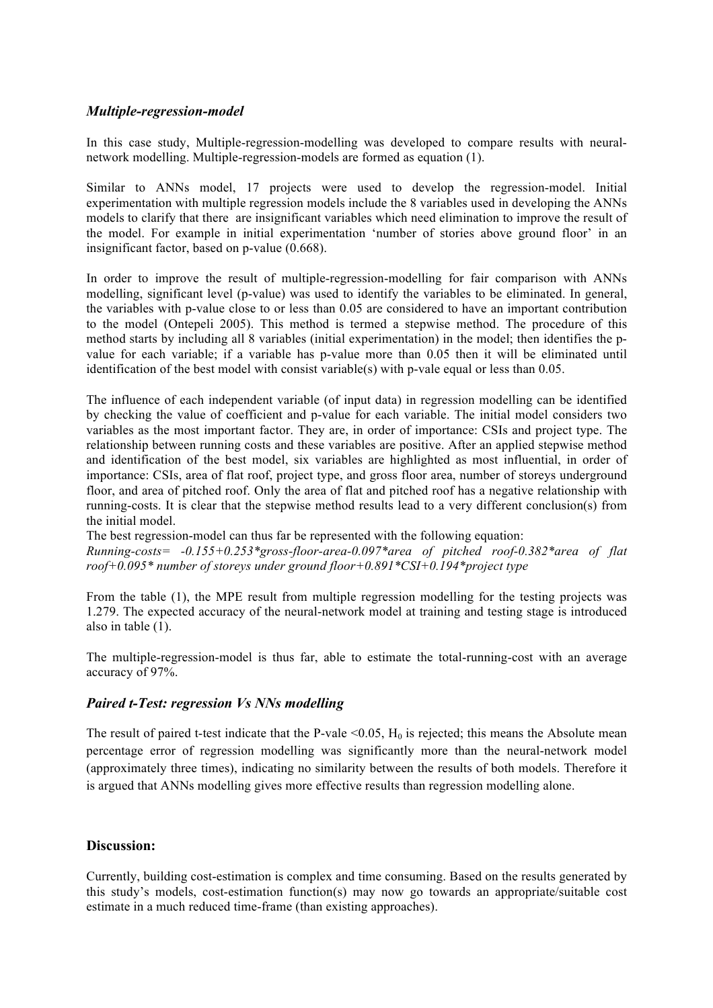# *Multiple-regression-model*

In this case study, Multiple-regression-modelling was developed to compare results with neuralnetwork modelling. Multiple-regression-models are formed as equation (1).

Similar to ANNs model, 17 projects were used to develop the regression-model. Initial experimentation with multiple regression models include the 8 variables used in developing the ANNs models to clarify that there are insignificant variables which need elimination to improve the result of the model. For example in initial experimentation 'number of stories above ground floor' in an insignificant factor, based on p-value (0.668).

In order to improve the result of multiple-regression-modelling for fair comparison with ANNs modelling, significant level (p-value) was used to identify the variables to be eliminated. In general, the variables with p-value close to or less than 0.05 are considered to have an important contribution to the model (Ontepeli 2005). This method is termed a stepwise method. The procedure of this method starts by including all 8 variables (initial experimentation) in the model; then identifies the pvalue for each variable; if a variable has p-value more than 0.05 then it will be eliminated until identification of the best model with consist variable(s) with p-vale equal or less than 0.05.

The influence of each independent variable (of input data) in regression modelling can be identified by checking the value of coefficient and p-value for each variable. The initial model considers two variables as the most important factor. They are, in order of importance: CSIs and project type. The relationship between running costs and these variables are positive. After an applied stepwise method and identification of the best model, six variables are highlighted as most influential, in order of importance: CSIs, area of flat roof, project type, and gross floor area, number of storeys underground floor, and area of pitched roof. Only the area of flat and pitched roof has a negative relationship with running-costs. It is clear that the stepwise method results lead to a very different conclusion(s) from the initial model.

The best regression-model can thus far be represented with the following equation: *Running-costs= -0.155+0.253\*gross-floor-area-0.097\*area of pitched roof-0.382\*area of flat roof+0.095\* number of storeys under ground floor+0.891\*CSI+0.194\*project type*

From the table (1), the MPE result from multiple regression modelling for the testing projects was 1.279. The expected accuracy of the neural-network model at training and testing stage is introduced also in table  $(1)$ .

The multiple-regression-model is thus far, able to estimate the total-running-cost with an average accuracy of 97%.

#### *Paired t-Test: regression Vs NNs modelling*

The result of paired t-test indicate that the P-vale  $\leq 0.05$ ,  $H_0$  is rejected; this means the Absolute mean percentage error of regression modelling was significantly more than the neural-network model (approximately three times), indicating no similarity between the results of both models. Therefore it is argued that ANNs modelling gives more effective results than regression modelling alone.

# **Discussion:**

Currently, building cost-estimation is complex and time consuming. Based on the results generated by this study's models, cost-estimation function(s) may now go towards an appropriate/suitable cost estimate in a much reduced time-frame (than existing approaches).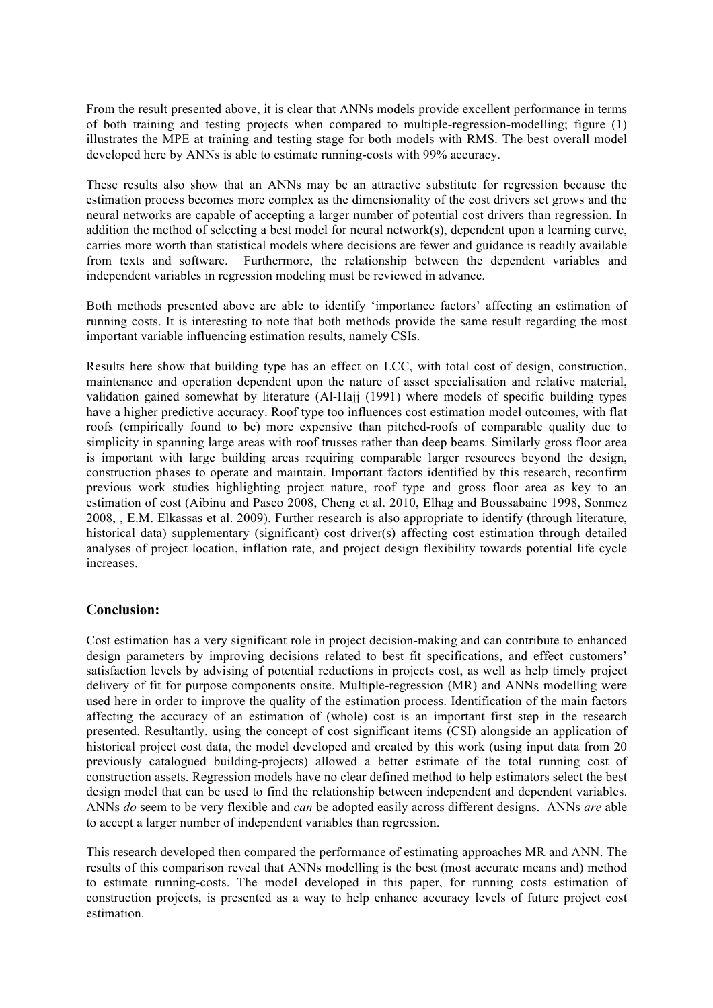From the result presented above, it is clear that ANNs models provide excellent performance in terms of both training and testing projects when compared to multiple-regression-modelling; figure (1) illustrates the MPE at training and testing stage for both models with RMS. The best overall model developed here by ANNs is able to estimate running-costs with 99% accuracy.

These results also show that an ANNs may be an attractive substitute for regression because the estimation process becomes more complex as the dimensionality of the cost drivers set grows and the neural networks are capable of accepting a larger number of potential cost drivers than regression. In addition the method of selecting a best model for neural network(s), dependent upon a learning curve, carries more worth than statistical models where decisions are fewer and guidance is readily available from texts and software. Furthermore, the relationship between the dependent variables and independent variables in regression modeling must be reviewed in advance.

Both methods presented above are able to identify 'importance factors' affecting an estimation of running costs. It is interesting to note that both methods provide the same result regarding the most important variable influencing estimation results, namely CSIs.

Results here show that building type has an effect on LCC, with total cost of design, construction, maintenance and operation dependent upon the nature of asset specialisation and relative material, validation gained somewhat by literature (Al-Hajj (1991) where models of specific building types have a higher predictive accuracy. Roof type too influences cost estimation model outcomes, with flat roofs (empirically found to be) more expensive than pitched-roofs of comparable quality due to simplicity in spanning large areas with roof trusses rather than deep beams. Similarly gross floor area is important with large building areas requiring comparable larger resources beyond the design, construction phases to operate and maintain. Important factors identified by this research, reconfirm previous work studies highlighting project nature, roof type and gross floor area as key to an estimation of cost (Aibinu and Pasco 2008, Cheng et al. 2010, Elhag and Boussabaine 1998, Sonmez 2008, , E.M. Elkassas et al. 2009). Further research is also appropriate to identify (through literature, historical data) supplementary (significant) cost driver(s) affecting cost estimation through detailed analyses of project location, inflation rate, and project design flexibility towards potential life cycle increases.

# **Conclusion:**

Cost estimation has a very significant role in project decision-making and can contribute to enhanced design parameters by improving decisions related to best fit specifications, and effect customers' satisfaction levels by advising of potential reductions in projects cost, as well as help timely project delivery of fit for purpose components onsite. Multiple-regression (MR) and ANNs modelling were used here in order to improve the quality of the estimation process. Identification of the main factors affecting the accuracy of an estimation of (whole) cost is an important first step in the research presented. Resultantly, using the concept of cost significant items (CSI) alongside an application of historical project cost data, the model developed and created by this work (using input data from 20 previously catalogued building-projects) allowed a better estimate of the total running cost of construction assets. Regression models have no clear defined method to help estimators select the best design model that can be used to find the relationship between independent and dependent variables. ANNs *do* seem to be very flexible and *can* be adopted easily across different designs. ANNs *are* able to accept a larger number of independent variables than regression.

This research developed then compared the performance of estimating approaches MR and ANN. The results of this comparison reveal that ANNs modelling is the best (most accurate means and) method to estimate running-costs. The model developed in this paper, for running costs estimation of construction projects, is presented as a way to help enhance accuracy levels of future project cost estimation.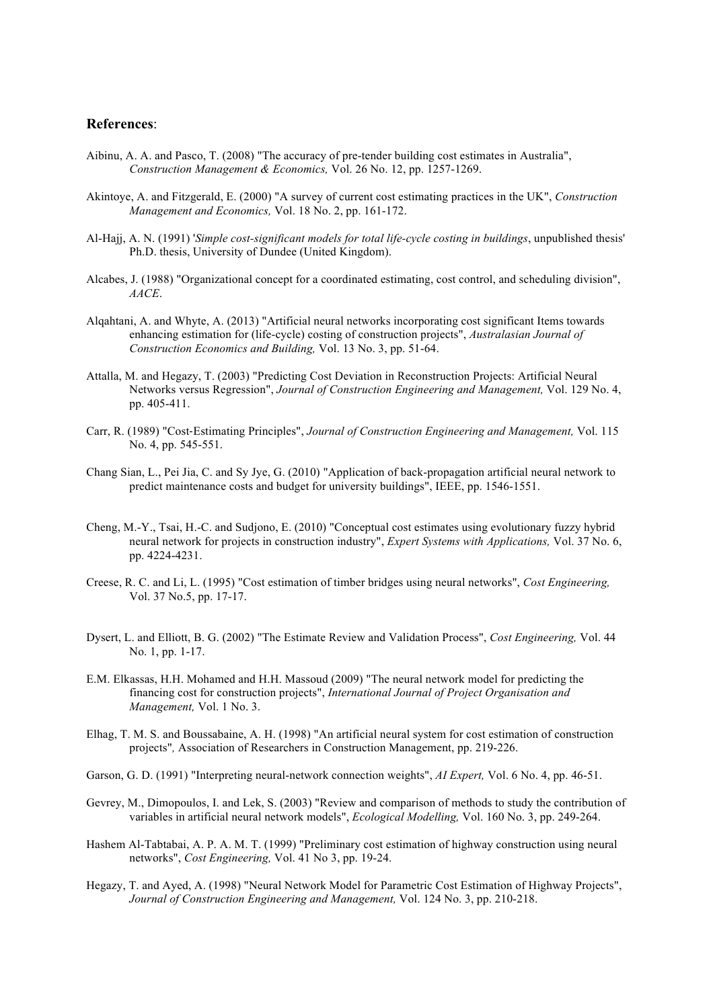#### **References**:

- Aibinu, A. A. and Pasco, T. (2008) "The accuracy of pre-tender building cost estimates in Australia", *Construction Management & Economics,* Vol. 26 No. 12, pp. 1257-1269.
- Akintoye, A. and Fitzgerald, E. (2000) "A survey of current cost estimating practices in the UK", *Construction Management and Economics,* Vol. 18 No. 2, pp. 161-172.
- Al-Hajj, A. N. (1991) '*Simple cost-significant models for total life-cycle costing in buildings*, unpublished thesis' Ph.D. thesis, University of Dundee (United Kingdom).
- Alcabes, J. (1988) "Organizational concept for a coordinated estimating, cost control, and scheduling division", *AACE*.
- Alqahtani, A. and Whyte, A. (2013) "Artificial neural networks incorporating cost significant Items towards enhancing estimation for (life-cycle) costing of construction projects", *Australasian Journal of Construction Economics and Building,* Vol. 13 No. 3, pp. 51-64.
- Attalla, M. and Hegazy, T. (2003) "Predicting Cost Deviation in Reconstruction Projects: Artificial Neural Networks versus Regression", *Journal of Construction Engineering and Management,* Vol. 129 No. 4, pp. 405-411.
- Carr, R. (1989) "Cost-Estimating Principles", *Journal of Construction Engineering and Management,* Vol. 115 No. 4, pp. 545-551.
- Chang Sian, L., Pei Jia, C. and Sy Jye, G. (2010) "Application of back-propagation artificial neural network to predict maintenance costs and budget for university buildings", IEEE, pp. 1546-1551.
- Cheng, M.-Y., Tsai, H.-C. and Sudjono, E. (2010) "Conceptual cost estimates using evolutionary fuzzy hybrid neural network for projects in construction industry", *Expert Systems with Applications,* Vol. 37 No. 6, pp. 4224-4231.
- Creese, R. C. and Li, L. (1995) "Cost estimation of timber bridges using neural networks", *Cost Engineering,* Vol. 37 No.5, pp. 17-17.
- Dysert, L. and Elliott, B. G. (2002) "The Estimate Review and Validation Process", *Cost Engineering,* Vol. 44 No. 1, pp. 1-17.
- E.M. Elkassas, H.H. Mohamed and H.H. Massoud (2009) "The neural network model for predicting the financing cost for construction projects", *International Journal of Project Organisation and Management,* Vol. 1 No. 3.
- Elhag, T. M. S. and Boussabaine, A. H. (1998) "An artificial neural system for cost estimation of construction projects"*,* Association of Researchers in Construction Management, pp. 219-226.
- Garson, G. D. (1991) "Interpreting neural-network connection weights", *AI Expert,* Vol. 6 No. 4, pp. 46-51.
- Gevrey, M., Dimopoulos, I. and Lek, S. (2003) "Review and comparison of methods to study the contribution of variables in artificial neural network models", *Ecological Modelling,* Vol. 160 No. 3, pp. 249-264.
- Hashem Al-Tabtabai, A. P. A. M. T. (1999) "Preliminary cost estimation of highway construction using neural networks", *Cost Engineering,* Vol. 41 No 3, pp. 19-24.
- Hegazy, T. and Ayed, A. (1998) "Neural Network Model for Parametric Cost Estimation of Highway Projects", *Journal of Construction Engineering and Management,* Vol. 124 No. 3, pp. 210-218.